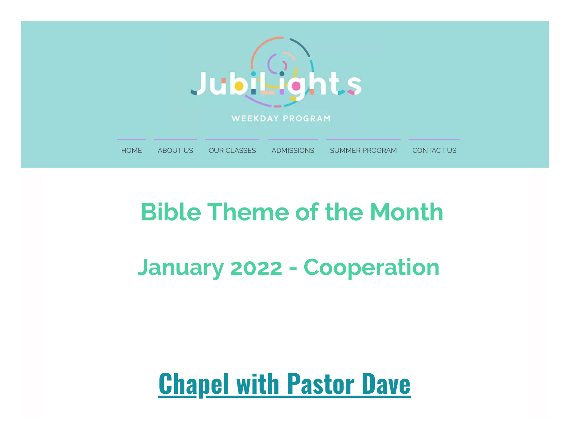

## **Bible Theme of the Month**

## **January 2022 - Cooperation**

## **Chapel with Pastor Dave**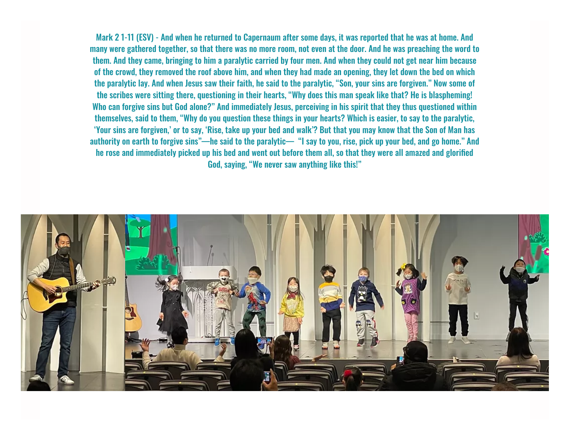Mark 2 1-11 (ESV) - And when he returned to Capernaum after some days, it was reported that he was at home. And many were gathered together, so that there was no more room, not even at the door. And he was preaching the word to them. And they came, bringing to him a paralytic carried by four men. And when they could not get near him because of the crowd, they removed the roof above him, and when they had made an opening, they let down the bed on which the paralytic lay. And when Jesus saw their faith, he said to the paralytic, "Son, your sins are forgiven." Now some of the scribes were sitting there, questioning in their hearts, "Why does this man speak like that? He is blaspheming! Who can forgive sins but God alone?" And immediately Jesus, perceiving in his spirit that they thus questioned within themselves, said to them, "Why do you question these things in your hearts? Which is easier, to say to the paralytic, 'Your sins are forgiven,' or to say, 'Rise, take up your bed and walk'? But that you may know that the Son of Man has authority on earth to forgive sins"—he said to the paralytic— "I say to you, rise, pick up your bed, and go home." And he rose and immediately picked up his bed and went out before them all, so that they were all amazed and glorified God, saying, "We never saw anything like this!"

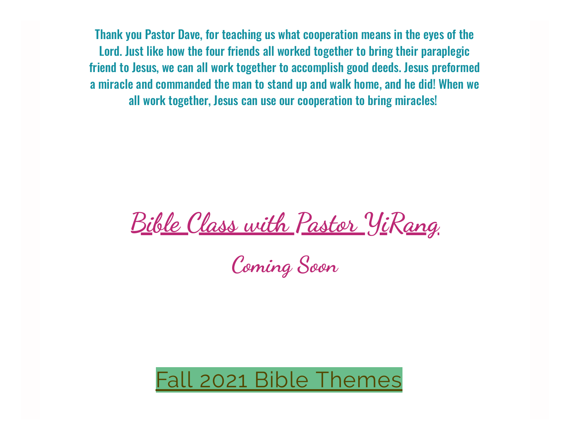Thank you Pastor Dave, for teaching us what cooperation means in the eyes of the Lord. Just like how the four friends all worked together to bring their paraplegic friend to Jesus, we can all work together to accomplish good deeds. Jesus preformed a miracle and commanded the man to stand up and walk home, and he did! When we all work together, Jesus can use our cooperation to bring miracles!

**Bible Class with Pastor YiRang**

**Coming Soon**

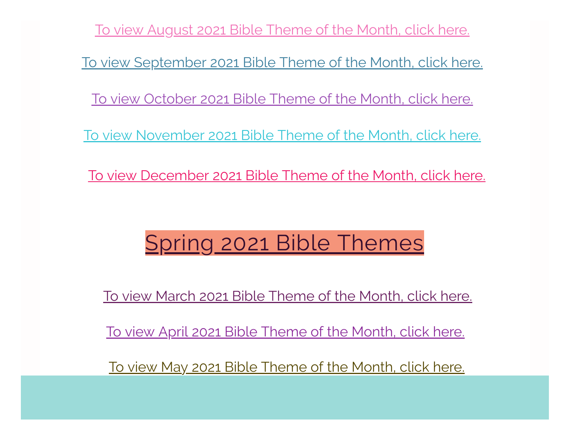To view [August](https://www.jubilightsweekday.com/_files/ugd/1a8181_744a42bea60049548185ed8726652a40.pdf) 2021 Bible Theme of the Month, click here. To view [September](https://www.jubilightsweekday.com/_files/ugd/1a8181_ae2215a92c494ff0bdde0e91e7095f4a.pdf) 2021 Bible Theme of the Month, click here. To view [October](https://www.jubilightsweekday.com/_files/ugd/1a8181_9fee79a3f4554adba987e8572f567713.pdf) 2021 Bible Theme of the Month, click here. To view [November](https://www.jubilightsweekday.com/_files/ugd/1a8181_47578835c6574f27a68983cc3daeed6d.pdf) 2021 Bible Theme of the Month, click here. To view [December](https://www.jubilightsweekday.com/_files/ugd/1a8181_c31e6e7e708946abaff4305498db63b1.pdf) 2021 Bible Theme of the Month, click here.

## Spring 2021 Bible Themes

To view March 2021 Bible [Theme](https://www.jubilightsweekday.com/_files/ugd/1a8181_a9edf8045ae9460187ccc2e908ba66ca.pdf) of the Month, click here.

To view April 2021 Bible [Theme](https://www.jubilightsweekday.com/_files/ugd/1a8181_8843c1ae02984af9a2592d57e7b52c92.pdf) of the Month, click here.

To view May 2021 Bible [Theme](https://www.jubilightsweekday.com/_files/ugd/1a8181_59b45f91a0f64716a7f69741cf3eb226.pdf) of the Month, click here.